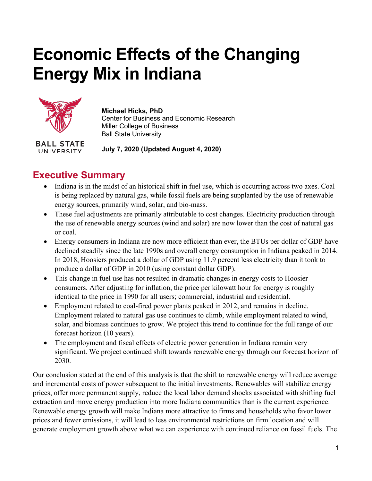# **Economic Effects of the Changing Energy Mix in Indiana**



**UNIVERSITY** 

#### **Michael Hicks, PhD**

Center for Business and Economic Research Miller College of Business Ball State University

**July 7, 2020 (Updated August 4, 2020)**

# **Executive Summary**

- Indiana is in the midst of an historical shift in fuel use, which is occurring across two axes. Coal is being replaced by natural gas, while fossil fuels are being supplanted by the use of renewable energy sources, primarily wind, solar, and bio-mass.
- These fuel adjustments are primarily attributable to cost changes. Electricity production through the use of renewable energy sources (wind and solar) are now lower than the cost of natural gas or coal.
- Energy consumers in Indiana are now more efficient than ever, the BTUs per dollar of GDP have declined steadily since the late 1990s and overall energy consumption in Indiana peaked in 2014. In 2018, Hoosiers produced a dollar of GDP using 11.9 percent less electricity than it took to produce a dollar of GDP in 2010 (using constant dollar GDP).
- This change in fuel use has not resulted in dramatic changes in energy costs to Hoosier consumers. After adjusting for inflation, the price per kilowatt hour for energy is roughly identical to the price in 1990 for all users; commercial, industrial and residential.
- Employment related to coal-fired power plants peaked in 2012, and remains in decline. Employment related to natural gas use continues to climb, while employment related to wind, solar, and biomass continues to grow. We project this trend to continue for the full range of our forecast horizon (10 years).
- The employment and fiscal effects of electric power generation in Indiana remain very significant. We project continued shift towards renewable energy through our forecast horizon of 2030.

Our conclusion stated at the end of this analysis is that the shift to renewable energy will reduce average and incremental costs of power subsequent to the initial investments. Renewables will stabilize energy prices, offer more permanent supply, reduce the local labor demand shocks associated with shifting fuel extraction and move energy production into more Indiana communities than is the current experience. Renewable energy growth will make Indiana more attractive to firms and households who favor lower prices and fewer emissions, it will lead to less environmental restrictions on firm location and will generate employment growth above what we can experience with continued reliance on fossil fuels. The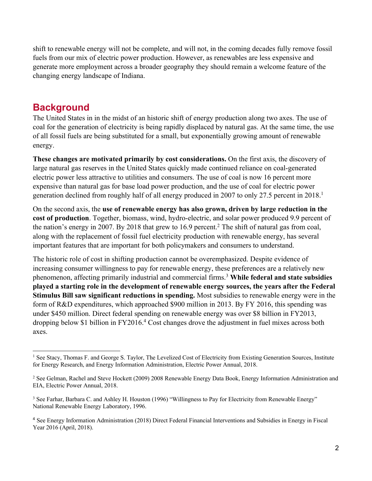shift to renewable energy will not be complete, and will not, in the coming decades fully remove fossil fuels from our mix of electric power production. However, as renewables are less expensive and generate more employment across a broader geography they should remain a welcome feature of the changing energy landscape of Indiana.

## **Background**

The United States in in the midst of an historic shift of energy production along two axes. The use of coal for the generation of electricity is being rapidly displaced by natural gas. At the same time, the use of all fossil fuels are being substituted for a small, but exponentially growing amount of renewable energy.

**These changes are motivated primarily by cost considerations.** On the first axis, the discovery of large natural gas reserves in the United States quickly made continued reliance on coal-generated electric power less attractive to utilities and consumers. The use of coal is now 16 percent more expensive than natural gas for base load power production, and the use of coal for electric power generation declined from roughly half of all energy produced in 2007 to only 27.5 percent in 2018.<sup>1</sup>

On the second axis, the **use of renewable energy has also grown, driven by large reduction in the cost of production**. Together, biomass, wind, hydro-electric, and solar power produced 9.9 percent of the nation's energy in 2007. By 2018 that grew to 16.9 percent.<sup>2</sup> The shift of natural gas from coal, along with the replacement of fossil fuel electricity production with renewable energy, has several important features that are important for both policymakers and consumers to understand.

The historic role of cost in shifting production cannot be overemphasized. Despite evidence of increasing consumer willingness to pay for renewable energy, these preferences are a relatively new phenomenon, affecting primarily industrial and commercial firms.3 **While federal and state subsidies played a starting role in the development of renewable energy sources, the years after the Federal Stimulus Bill saw significant reductions in spending.** Most subsidies to renewable energy were in the form of R&D expenditures, which approached \$900 million in 2013. By FY 2016, this spending was under \$450 million. Direct federal spending on renewable energy was over \$8 billion in FY2013, dropping below \$1 billion in FY2016.4 Cost changes drove the adjustment in fuel mixes across both axes.

<sup>&</sup>lt;sup>1</sup> See Stacy, Thomas F. and George S. Taylor, The Levelized Cost of Electricity from Existing Generation Sources, Institute for Energy Research, and Energy Information Administration, Electric Power Annual, 2018.

<sup>&</sup>lt;sup>2</sup> See Gelman, Rachel and Steve Hockett (2009) 2008 Renewable Energy Data Book, Energy Information Administration and EIA, Electric Power Annual, 2018.

<sup>&</sup>lt;sup>3</sup> See Farhar, Barbara C. and Ashley H. Houston (1996) "Willingness to Pay for Electricity from Renewable Energy" National Renewable Energy Laboratory, 1996.

<sup>4</sup> See Energy Information Administration (2018) Direct Federal Financial Interventions and Subsidies in Energy in Fiscal Year 2016 (April, 2018).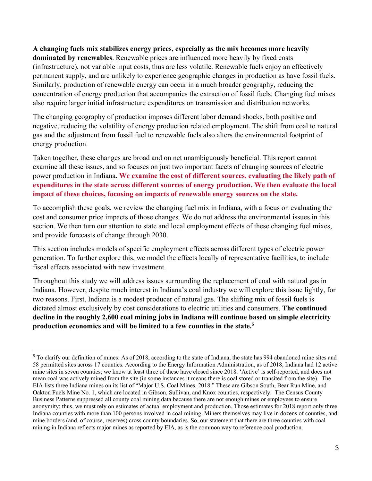#### **A changing fuels mix stabilizes energy prices, especially as the mix becomes more heavily**

**dominated by renewables**. Renewable prices are influenced more heavily by fixed costs (infrastructure), not variable input costs, thus are less volatile. Renewable fuels enjoy an effectively permanent supply, and are unlikely to experience geographic changes in production as have fossil fuels. Similarly, production of renewable energy can occur in a much broader geography, reducing the concentration of energy production that accompanies the extraction of fossil fuels. Changing fuel mixes also require larger initial infrastructure expenditures on transmission and distribution networks.

The changing geography of production imposes different labor demand shocks, both positive and negative, reducing the volatility of energy production related employment. The shift from coal to natural gas and the adjustment from fossil fuel to renewable fuels also alters the environmental footprint of energy production.

Taken together, these changes are broad and on net unambiguously beneficial. This report cannot examine all these issues, and so focuses on just two important facets of changing sources of electric power production in Indiana. **We examine the cost of different sources, evaluating the likely path of expenditures in the state across different sources of energy production. We then evaluate the local impact of these choices, focusing on impacts of renewable energy sources on the state.**

To accomplish these goals, we review the changing fuel mix in Indiana, with a focus on evaluating the cost and consumer price impacts of those changes. We do not address the environmental issues in this section. We then turn our attention to state and local employment effects of these changing fuel mixes, and provide forecasts of change through 2030.

This section includes models of specific employment effects across different types of electric power generation. To further explore this, we model the effects locally of representative facilities, to include fiscal effects associated with new investment.

Throughout this study we will address issues surrounding the replacement of coal with natural gas in Indiana. However, despite much interest in Indiana's coal industry we will explore this issue lightly, for two reasons. First, Indiana is a modest producer of natural gas. The shifting mix of fossil fuels is dictated almost exclusively by cost considerations to electric utilities and consumers. **The continued decline in the roughly 2,600 coal mining jobs in Indiana will continue based on simple electricity production economics and will be limited to a few counties in the state.5**

<sup>5</sup> To clarify our definition of mines: As of 2018, according to the state of Indiana, the state has 994 abandoned mine sites and 58 permitted sites across 17 counties. According to the Energy Information Administration, as of 2018, Indiana had 12 active mine sites in seven counties; we know at least three of these have closed since 2018. 'Active' is self-reported, and does not mean coal was actively mined from the site (in some instances it means there is coal stored or transited from the site). The EIA lists three Indiana mines on its list of "Major U.S. Coal Mines, 2018." These are Gibson South, Bear Run Mine, and Oakton Fuels Mine No. 1, which are located in Gibson, Sullivan, and Knox counties, respectively. The Census County Business Patterns suppressed all county coal mining data because there are not enough mines or employees to ensure anonymity; thus, we must rely on estimates of actual employment and production. Those estimates for 2018 report only three Indiana counties with more than 100 persons involved in coal mining. Miners themselves may live in dozens of counties, and mine borders (and, of course, reserves) cross county boundaries. So, our statement that there are three counties with coal mining in Indiana reflects major mines as reported by EIA, as is the common way to reference coal production.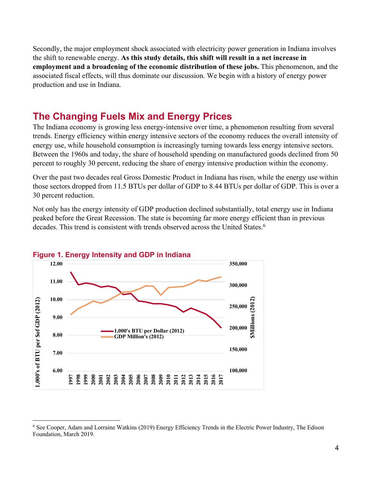Secondly, the major employment shock associated with electricity power generation in Indiana involves the shift to renewable energy. **As this study details, this shift will result in a net increase in employment and a broadening of the economic distribution of these jobs.** This phenomenon, and the associated fiscal effects, will thus dominate our discussion. We begin with a history of energy power production and use in Indiana.

## **The Changing Fuels Mix and Energy Prices**

The Indiana economy is growing less energy-intensive over time, a phenomenon resulting from several trends. Energy efficiency within energy intensive sectors of the economy reduces the overall intensity of energy use, while household consumption is increasingly turning towards less energy intensive sectors. Between the 1960s and today, the share of household spending on manufactured goods declined from 50 percent to roughly 30 percent, reducing the share of energy intensive production within the economy.

Over the past two decades real Gross Domestic Product in Indiana has risen, while the energy use within those sectors dropped from 11.5 BTUs per dollar of GDP to 8.44 BTUs per dollar of GDP. This is over a 30 percent reduction.

Not only has the energy intensity of GDP production declined substantially, total energy use in Indiana peaked before the Great Recession. The state is becoming far more energy efficient than in previous decades. This trend is consistent with trends observed across the United States.<sup>6</sup>



<sup>6</sup> See Cooper, Adam and Lorraine Watkins (2019) Energy Efficiency Trends in the Electric Power Industry, The Edison Foundation, March 2019.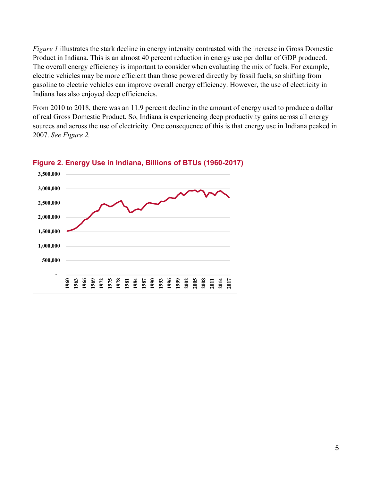*Figure 1* illustrates the stark decline in energy intensity contrasted with the increase in Gross Domestic Product in Indiana. This is an almost 40 percent reduction in energy use per dollar of GDP produced. The overall energy efficiency is important to consider when evaluating the mix of fuels. For example, electric vehicles may be more efficient than those powered directly by fossil fuels, so shifting from gasoline to electric vehicles can improve overall energy efficiency. However, the use of electricity in Indiana has also enjoyed deep efficiencies.

From 2010 to 2018, there was an 11.9 percent decline in the amount of energy used to produce a dollar of real Gross Domestic Product. So, Indiana is experiencing deep productivity gains across all energy sources and across the use of electricity. One consequence of this is that energy use in Indiana peaked in 2007. *See Figure 2.*

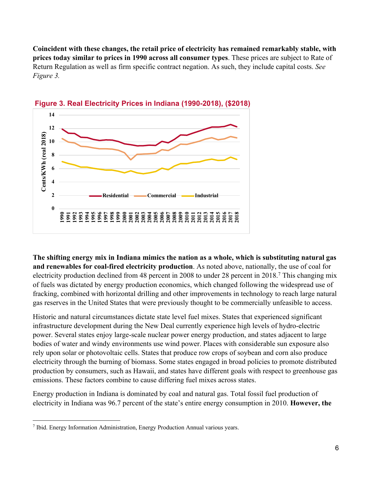**Coincident with these changes, the retail price of electricity has remained remarkably stable, with prices today similar to prices in 1990 across all consumer types**. These prices are subject to Rate of Return Regulation as well as firm specific contract negation. As such, they include capital costs. *See Figure 3.*



**Figure 3. Real Electricity Prices in Indiana (1990-2018), (\$2018)**

**The shifting energy mix in Indiana mimics the nation as a whole, which is substituting natural gas and renewables for coal-fired electricity production**. As noted above, nationally, the use of coal for electricity production declined from 48 percent in 2008 to under 28 percent in 2018.7 This changing mix of fuels was dictated by energy production economics, which changed following the widespread use of fracking, combined with horizontal drilling and other improvements in technology to reach large natural gas reserves in the United States that were previously thought to be commercially unfeasible to access.

Historic and natural circumstances dictate state level fuel mixes. States that experienced significant infrastructure development during the New Deal currently experience high levels of hydro-electric power. Several states enjoy large-scale nuclear power energy production, and states adjacent to large bodies of water and windy environments use wind power. Places with considerable sun exposure also rely upon solar or photovoltaic cells. States that produce row crops of soybean and corn also produce electricity through the burning of biomass. Some states engaged in broad policies to promote distributed production by consumers, such as Hawaii, and states have different goals with respect to greenhouse gas emissions. These factors combine to cause differing fuel mixes across states.

Energy production in Indiana is dominated by coal and natural gas. Total fossil fuel production of electricity in Indiana was 96.7 percent of the state's entire energy consumption in 2010. **However, the** 

<sup>7</sup> Ibid. Energy Information Administration, Energy Production Annual various years.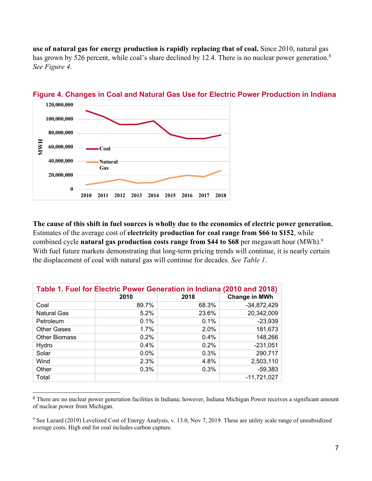**use of natural gas for energy production is rapidly replacing that of coal.** Since 2010, natural gas has grown by 526 percent, while coal's share declined by 12.4. There is no nuclear power generation.<sup>8</sup> *See Figure 4.*



**Figure 4. Changes in Coal and Natural Gas Use for Electric Power Production in Indiana**

**The cause of this shift in fuel sources is wholly due to the economics of electric power generation.** Estimates of the average cost of **electricity production for coal range from \$66 to \$152**, while combined cycle **natural gas production costs range from \$44 to \$68** per megawatt hour (MWh). 9 With fuel future markets demonstrating that long-term pricing trends will continue, it is nearly certain the displacement of coal with natural gas will continue for decades. *See Table 1*.

| Table 1. Fuel for Electric Power Generation in Indiana (2010 and 2018) |       |       |                      |  |  |  |  |
|------------------------------------------------------------------------|-------|-------|----------------------|--|--|--|--|
|                                                                        | 2010  | 2018  | <b>Change in MWh</b> |  |  |  |  |
| Coal                                                                   | 89.7% | 68.3% | $-34,872,429$        |  |  |  |  |
| <b>Natural Gas</b>                                                     | 5.2%  | 23.6% | 20,342,009           |  |  |  |  |
| Petroleum                                                              | 0.1%  | 0.1%  | $-23,939$            |  |  |  |  |
| <b>Other Gases</b>                                                     | 1.7%  | 2.0%  | 181,673              |  |  |  |  |
| <b>Other Biomass</b>                                                   | 0.2%  | 0.4%  | 148,266              |  |  |  |  |
| Hydro                                                                  | 0.4%  | 0.2%  | $-231,051$           |  |  |  |  |
| Solar                                                                  | 0.0%  | 0.3%  | 290,717              |  |  |  |  |
| Wind                                                                   | 2.3%  | 4.8%  | 2,503,110            |  |  |  |  |
| Other                                                                  | 0.3%  | 0.3%  | $-59,383$            |  |  |  |  |
| Total                                                                  |       |       | $-11,721,027$        |  |  |  |  |

<sup>&</sup>lt;sup>8</sup> There are no nuclear power generation facilities in Indiana; however, Indiana Michigan Power receives a significant amount of nuclear power from Michigan.

<sup>9</sup> See Lazard (2019) Levelized Cost of Energy Analysis, v. 13.0, Nov 7, 2019. These are utility scale range of unsubsidized average costs. High end for coal includes carbon capture.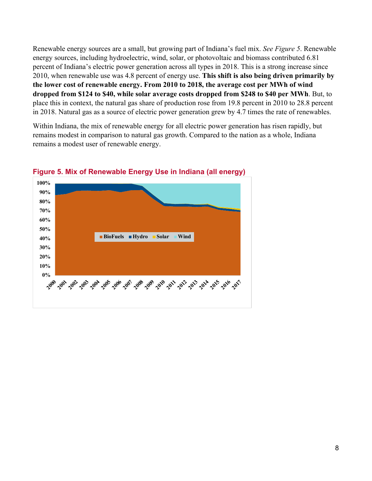Renewable energy sources are a small, but growing part of Indiana's fuel mix. *See Figure 5*. Renewable energy sources, including hydroelectric, wind, solar, or photovoltaic and biomass contributed 6.81 percent of Indiana's electric power generation across all types in 2018. This is a strong increase since 2010, when renewable use was 4.8 percent of energy use. **This shift is also being driven primarily by the lower cost of renewable energy. From 2010 to 2018, the average cost per MWh of wind dropped from \$124 to \$40, while solar average costs dropped from \$248 to \$40 per MWh**. But, to place this in context, the natural gas share of production rose from 19.8 percent in 2010 to 28.8 percent in 2018. Natural gas as a source of electric power generation grew by 4.7 times the rate of renewables.

Within Indiana, the mix of renewable energy for all electric power generation has risen rapidly, but remains modest in comparison to natural gas growth. Compared to the nation as a whole, Indiana remains a modest user of renewable energy.



#### **Figure 5. Mix of Renewable Energy Use in Indiana (all energy)**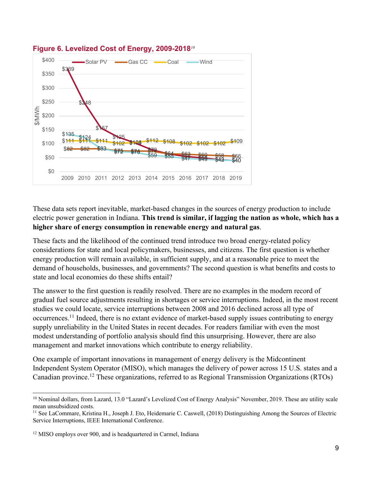

#### **Figure 6. Levelized Cost of Energy, 2009-2018***<sup>10</sup>*

These data sets report inevitable, market-based changes in the sources of energy production to include electric power generation in Indiana. **This trend is similar, if lagging the nation as whole, which has a higher share of energy consumption in renewable energy and natural gas**.

These facts and the likelihood of the continued trend introduce two broad energy-related policy considerations for state and local policymakers, businesses, and citizens. The first question is whether energy production will remain available, in sufficient supply, and at a reasonable price to meet the demand of households, businesses, and governments? The second question is what benefits and costs to state and local economies do these shifts entail?

The answer to the first question is readily resolved. There are no examples in the modern record of gradual fuel source adjustments resulting in shortages or service interruptions. Indeed, in the most recent studies we could locate, service interruptions between 2008 and 2016 declined across all type of occurrences.11 Indeed, there is no extant evidence of market-based supply issues contributing to energy supply unreliability in the United States in recent decades. For readers familiar with even the most modest understanding of portfolio analysis should find this unsurprising. However, there are also management and market innovations which contribute to energy reliability.

One example of important innovations in management of energy delivery is the Midcontinent Independent System Operator (MISO), which manages the delivery of power across 15 U.S. states and a Canadian province.12 These organizations, referred to as Regional Transmission Organizations (RTOs)

<sup>&</sup>lt;sup>10</sup> Nominal dollars, from Lazard, 13.0 "Lazard's Levelized Cost of Energy Analysis" November, 2019. These are utility scale mean unsubsidized costs.

<sup>&</sup>lt;sup>11</sup> See LaCommare, Kristina H., Joseph J. Eto, Heidemarie C. Caswell, (2018) Distinguishing Among the Sources of Electric Service Interruptions, IEEE International Conference.

<sup>12</sup> MISO employs over 900, and is headquartered in Carmel, Indiana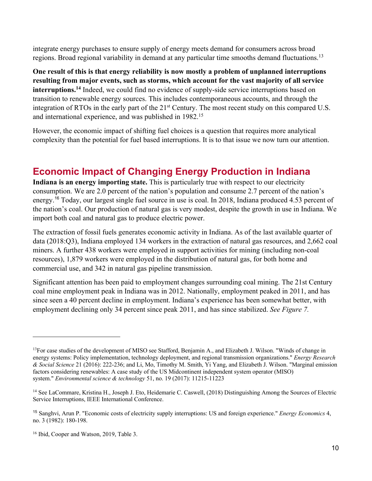integrate energy purchases to ensure supply of energy meets demand for consumers across broad regions. Broad regional variability in demand at any particular time smooths demand fluctuations.<sup>13</sup>

**One result of this is that energy reliability is now mostly a problem of unplanned interruptions resulting from major events, such as storms, which account for the vast majority of all service interruptions.14** Indeed, we could find no evidence of supply-side service interruptions based on transition to renewable energy sources. This includes contemporaneous accounts, and through the integration of RTOs in the early part of the 21<sup>st</sup> Century. The most recent study on this compared U.S. and international experience, and was published in 1982.15

However, the economic impact of shifting fuel choices is a question that requires more analytical complexity than the potential for fuel based interruptions. It is to that issue we now turn our attention.

## **Economic Impact of Changing Energy Production in Indiana**

**Indiana is an energy importing state.** This is particularly true with respect to our electricity consumption. We are 2.0 percent of the nation's population and consume 2.7 percent of the nation's energy.<sup>16</sup> Today, our largest single fuel source in use is coal. In 2018, Indiana produced 4.53 percent of the nation's coal. Our production of natural gas is very modest, despite the growth in use in Indiana. We import both coal and natural gas to produce electric power.

The extraction of fossil fuels generates economic activity in Indiana. As of the last available quarter of data (2018:Q3), Indiana employed 134 workers in the extraction of natural gas resources, and 2,662 coal miners. A further 438 workers were employed in support activities for mining (including non-coal resources), 1,879 workers were employed in the distribution of natural gas, for both home and commercial use, and 342 in natural gas pipeline transmission.

Significant attention has been paid to employment changes surrounding coal mining. The 21st Century coal mine employment peak in Indiana was in 2012. Nationally, employment peaked in 2011, and has since seen a 40 percent decline in employment. Indiana's experience has been somewhat better, with employment declining only 34 percent since peak 2011, and has since stabilized. *See Figure 7.*

<sup>&</sup>lt;sup>13</sup>For case studies of the development of MISO see Stafford, Benjamin A., and Elizabeth J. Wilson. "Winds of change in energy systems: Policy implementation, technology deployment, and regional transmission organizations." *Energy Research & Social Science* 21 (2016): 222-236; and Li, Mo, Timothy M. Smith, Yi Yang, and Elizabeth J. Wilson. "Marginal emission factors considering renewables: A case study of the US Midcontinent independent system operator (MISO) system." *Environmental science & technology* 51, no. 19 (2017): 11215-11223

<sup>&</sup>lt;sup>14</sup> See LaCommare, Kristina H., Joseph J. Eto, Heidemarie C. Caswell, (2018) Distinguishing Among the Sources of Electric Service Interruptions, IEEE International Conference.

<sup>15</sup> Sanghvi, Arun P. "Economic costs of electricity supply interruptions: US and foreign experience." *Energy Economics* 4, no. 3 (1982): 180-198.

<sup>&</sup>lt;sup>16</sup> Ibid, Cooper and Watson, 2019, Table 3.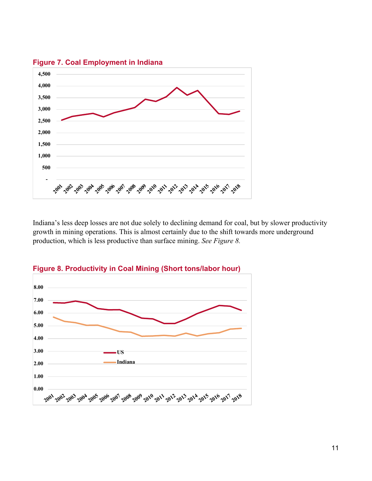

**Figure 7. Coal Employment in Indiana**

Indiana's less deep losses are not due solely to declining demand for coal, but by slower productivity growth in mining operations. This is almost certainly due to the shift towards more underground production, which is less productive than surface mining. *See Figure 8.*



**Figure 8. Productivity in Coal Mining (Short tons/labor hour)**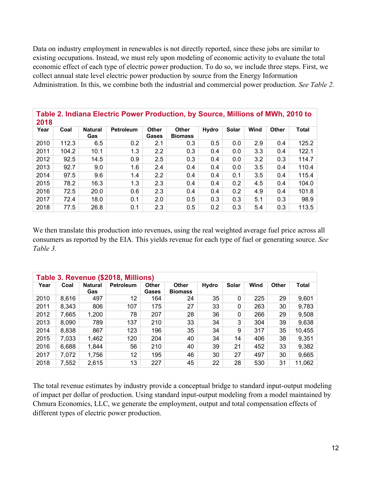Data on industry employment in renewables is not directly reported, since these jobs are similar to existing occupations. Instead, we must rely upon modeling of economic activity to evaluate the total economic effect of each type of electric power production. To do so, we include three steps. First, we collect annual state level electric power production by source from the Energy Information Administration. In this, we combine both the industrial and commercial power production. *See Table 2.*

| Table 2. Indiana Electric Power Production, by Source, Millions of MWh, 2010 to<br>2018 |       |                       |                  |                       |                                |              |       |      |              |       |
|-----------------------------------------------------------------------------------------|-------|-----------------------|------------------|-----------------------|--------------------------------|--------------|-------|------|--------------|-------|
| Year                                                                                    | Coal  | <b>Natural</b><br>Gas | <b>Petroleum</b> | <b>Other</b><br>Gases | <b>Other</b><br><b>Biomass</b> | <b>Hydro</b> | Solar | Wind | <b>Other</b> | Total |
| 2010                                                                                    | 112.3 | 6.5                   | 0.2              | 2.1                   | 0.3                            | 0.5          | 0.0   | 2.9  | 0.4          | 125.2 |
| 2011                                                                                    | 104.2 | 10.1                  | 1.3              | 2.2                   | 0.3                            | 0.4          | 0.0   | 3.3  | 0.4          | 122.1 |
| 2012                                                                                    | 92.5  | 14.5                  | 0.9              | 2.5                   | 0.3                            | 0.4          | 0.0   | 3.2  | 0.3          | 114.7 |
| 2013                                                                                    | 92.7  | 9.0                   | 1.6              | 2.4                   | 0.4                            | 0.4          | 0.0   | 3.5  | 0.4          | 110.4 |
| 2014                                                                                    | 97.5  | 9.6                   | 1.4              | 2.2                   | 0.4                            | 0.4          | 0.1   | 3.5  | 0.4          | 115.4 |
| 2015                                                                                    | 78.2  | 16.3                  | 1.3              | 2.3                   | 0.4                            | 0.4          | 0.2   | 4.5  | 0.4          | 104.0 |
| 2016                                                                                    | 72.5  | 20.0                  | 0.6              | 2.3                   | 0.4                            | 0.4          | 0.2   | 4.9  | 0.4          | 101.8 |
| 2017                                                                                    | 72.4  | 18.0                  | 0.1              | 2.0                   | 0.5                            | 0.3          | 0.3   | 5.1  | 0.3          | 98.9  |
| 2018                                                                                    | 77.5  | 26.8                  | 0.1              | 2.3                   | 0.5                            | 0.2          | 0.3   | 5.4  | 0.3          | 113.5 |

We then translate this production into revenues, using the real weighted average fuel price across all consumers as reported by the EIA. This yields revenue for each type of fuel or generating source. *See Table 3.*

| Table 3. Revenue (\$2018, Millions) |       |                       |                  |                       |                                |       |              |      |              |        |
|-------------------------------------|-------|-----------------------|------------------|-----------------------|--------------------------------|-------|--------------|------|--------------|--------|
| Year                                | Coal  | <b>Natural</b><br>Gas | <b>Petroleum</b> | <b>Other</b><br>Gases | <b>Other</b><br><b>Biomass</b> | Hydro | Solar        | Wind | <b>Other</b> | Total  |
| 2010                                | 8,616 | 497                   | 12               | 164                   | 24                             | 35    | $\mathbf{0}$ | 225  | 29           | 9,601  |
| 2011                                | 8,343 | 806                   | 107              | 175                   | 27                             | 33    | 0            | 263  | 30           | 9,783  |
| 2012                                | 7,665 | 1,200                 | 78               | 207                   | 28                             | 36    | $\mathbf 0$  | 266  | 29           | 9,508  |
| 2013                                | 8,090 | 789                   | 137              | 210                   | 33                             | 34    | 3            | 304  | 39           | 9,638  |
| 2014                                | 8,838 | 867                   | 123              | 196                   | 35                             | 34    | 9            | 317  | 35           | 10,455 |
| 2015                                | 7,033 | 1,462                 | 120              | 204                   | 40                             | 34    | 14           | 406  | 38           | 9,351  |
| 2016                                | 6,688 | 1,844                 | 56               | 210                   | 40                             | 39    | 21           | 452  | 33           | 9,382  |
| 2017                                | 7,072 | 1,756                 | 12               | 195                   | 46                             | 30    | 27           | 497  | 30           | 9,665  |
| 2018                                | 7,552 | 2,615                 | 13               | 227                   | 45                             | 22    | 28           | 530  | 31           | 11,062 |

The total revenue estimates by industry provide a conceptual bridge to standard input-output modeling of impact per dollar of production. Using standard input-output modeling from a model maintained by Chmura Economics, LLC, we generate the employment, output and total compensation effects of different types of electric power production.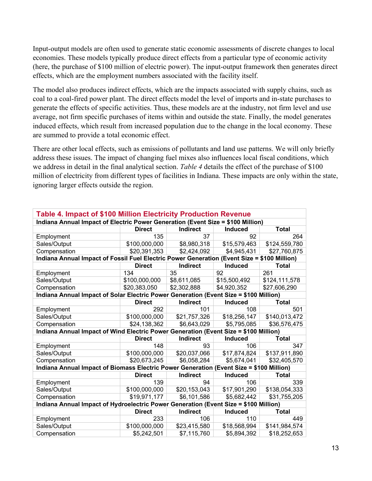Input-output models are often used to generate static economic assessments of discrete changes to local economies. These models typically produce direct effects from a particular type of economic activity (here, the purchase of \$100 million of electric power). The input-output framework then generates direct effects, which are the employment numbers associated with the facility itself.

The model also produces indirect effects, which are the impacts associated with supply chains, such as coal to a coal-fired power plant. The direct effects model the level of imports and in-state purchases to generate the effects of specific activities. Thus, these models are at the industry, not firm level and use average, not firm specific purchases of items within and outside the state. Finally, the model generates induced effects, which result from increased population due to the change in the local economy. These are summed to provide a total economic effect.

There are other local effects, such as emissions of pollutants and land use patterns. We will only briefly address these issues. The impact of changing fuel mixes also influences local fiscal conditions, which we address in detail in the final analytical section. *Table 4* details the effect of the purchase of \$100 million of electricity from different types of facilities in Indiana. These impacts are only within the state, ignoring larger effects outside the region.

| <b>Table 4. Impact of \$100 Million Electricity Production Revenue</b>                      |               |                 |                         |               |  |  |  |  |  |
|---------------------------------------------------------------------------------------------|---------------|-----------------|-------------------------|---------------|--|--|--|--|--|
| Indiana Annual Impact of Electric Power Generation (Event Size = \$100 Million)             |               |                 |                         |               |  |  |  |  |  |
|                                                                                             | <b>Direct</b> | <b>Indirect</b> | Induced                 | <b>Total</b>  |  |  |  |  |  |
| Employment                                                                                  | 135           | 37              | 92                      | 264           |  |  |  |  |  |
| Sales/Output                                                                                | \$100,000,000 | \$8,980,318     | \$15,579,463            | \$124,559,780 |  |  |  |  |  |
| Compensation                                                                                | \$20,391,353  | \$2,424,092     | $\overline{84,945,431}$ | \$27,760,875  |  |  |  |  |  |
| Indiana Annual Impact of Fossil Fuel Electric Power Generation (Event Size = \$100 Million) |               |                 |                         |               |  |  |  |  |  |
|                                                                                             | <b>Direct</b> | <b>Indirect</b> | <b>Induced</b>          | <b>Total</b>  |  |  |  |  |  |
| Employment                                                                                  | 134           | 35              | 92                      | 261           |  |  |  |  |  |
| Sales/Output                                                                                | \$100,000,000 | \$8,611,085     | \$15,500,492            | \$124,111,578 |  |  |  |  |  |
| Compensation                                                                                | \$20,383,050  | \$2,302,888     | \$4,920,352             | \$27,606,290  |  |  |  |  |  |
| Indiana Annual Impact of Solar Electric Power Generation (Event Size = \$100 Million)       |               |                 |                         |               |  |  |  |  |  |
|                                                                                             | <b>Direct</b> | <b>Indirect</b> | <b>Induced</b>          | <b>Total</b>  |  |  |  |  |  |
| Employment                                                                                  | 292           | 101             | 108                     | 501           |  |  |  |  |  |
| Sales/Output                                                                                | \$100,000,000 | \$21,757,326    | \$18,256,147            | \$140,013,472 |  |  |  |  |  |
| Compensation                                                                                | \$24,138,362  | \$6,643,029     | \$5,795,085             | \$36,576,475  |  |  |  |  |  |
| Indiana Annual Impact of Wind Electric Power Generation (Event Size = \$100 Million)        |               |                 |                         |               |  |  |  |  |  |
|                                                                                             | <b>Direct</b> | <b>Indirect</b> | Induced                 | <b>Total</b>  |  |  |  |  |  |
| Employment                                                                                  | 148           | 93              | 106                     | 347           |  |  |  |  |  |
| Sales/Output                                                                                | \$100,000,000 | \$20,037,066    | \$17,874,824            | \$137,911,890 |  |  |  |  |  |
| Compensation                                                                                | \$20,673,245  | \$6,058,284     | \$5,674,041             | \$32,405,570  |  |  |  |  |  |
| Indiana Annual Impact of Biomass Electric Power Generation (Event Size = \$100 Million)     |               |                 |                         |               |  |  |  |  |  |
|                                                                                             | <b>Direct</b> | <b>Indirect</b> | <b>Induced</b>          | <b>Total</b>  |  |  |  |  |  |
| Employment                                                                                  | 139           | 94              | 106                     | 339           |  |  |  |  |  |
| Sales/Output                                                                                | \$100,000,000 | \$20,153,043    | \$17,901,290            | \$138,054,333 |  |  |  |  |  |
| Compensation                                                                                | \$19,971,177  | \$6,101,586     | \$5,682,442             | \$31,755,205  |  |  |  |  |  |
| Indiana Annual Impact of Hydroelectric Power Generation (Event Size = \$100 Million)        |               |                 |                         |               |  |  |  |  |  |
|                                                                                             | <b>Direct</b> | <b>Indirect</b> | <b>Induced</b>          | <b>Total</b>  |  |  |  |  |  |
| Employment                                                                                  | 233           | 106             | 110                     | 449           |  |  |  |  |  |
| Sales/Output                                                                                | \$100,000,000 | \$23,415,580    | \$18,568,994            | \$141,984,574 |  |  |  |  |  |
| Compensation                                                                                | \$5,242,501   | \$7,115,760     | \$5,894,392             | \$18,252,653  |  |  |  |  |  |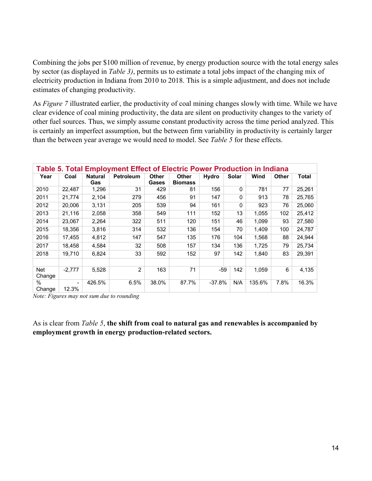Combining the jobs per \$100 million of revenue, by energy production source with the total energy sales by sector (as displayed in *Table 3)*, permits us to estimate a total jobs impact of the changing mix of electricity production in Indiana from 2010 to 2018. This is a simple adjustment, and does not include estimates of changing productivity.

As *Figure 7* illustrated earlier, the productivity of coal mining changes slowly with time. While we have clear evidence of coal mining productivity, the data are silent on productivity changes to the variety of other fuel sources. Thus, we simply assume constant productivity across the time period analyzed. This is certainly an imperfect assumption, but the between firm variability in productivity is certainly larger than the between year average we would need to model. See *Table 5* for these effects.

| Table 5. Total Employment Effect of Electric Power Production in Indiana |          |                       |                  |                              |                                |          |              |        |              |        |
|--------------------------------------------------------------------------|----------|-----------------------|------------------|------------------------------|--------------------------------|----------|--------------|--------|--------------|--------|
| Year                                                                     | Coal     | <b>Natural</b><br>Gas | <b>Petroleum</b> | <b>Other</b><br><b>Gases</b> | <b>Other</b><br><b>Biomass</b> | Hydro    | Solar        | Wind   | <b>Other</b> | Total  |
| 2010                                                                     | 22,487   | 1,296                 | 31               | 429                          | 81                             | 156      | $\Omega$     | 781    | 77           | 25,261 |
| 2011                                                                     | 21,774   | 2,104                 | 279              | 456                          | 91                             | 147      | $\mathbf{0}$ | 913    | 78           | 25,765 |
| 2012                                                                     | 20,006   | 3,131                 | 205              | 539                          | 94                             | 161      | $\Omega$     | 923    | 76           | 25,060 |
| 2013                                                                     | 21,116   | 2,058                 | 358              | 549                          | 111                            | 152      | 13           | 1,055  | 102          | 25,412 |
| 2014                                                                     | 23,067   | 2,264                 | 322              | 511                          | 120                            | 151      | 46           | 1,099  | 93           | 27,580 |
| 2015                                                                     | 18,356   | 3,816                 | 314              | 532                          | 136                            | 154      | 70           | 1,409  | 100          | 24,787 |
| 2016                                                                     | 17,455   | 4,812                 | 147              | 547                          | 135                            | 176      | 104          | 1,568  | 88           | 24,944 |
| 2017                                                                     | 18,458   | 4,584                 | 32               | 508                          | 157                            | 134      | 136          | 1,725  | 79           | 25,734 |
| 2018                                                                     | 19.710   | 6.824                 | 33               | 592                          | 152                            | 97       | 142          | 1.840  | 83           | 29,391 |
|                                                                          |          |                       |                  |                              |                                |          |              |        |              |        |
| Net<br>Change                                                            | $-2.777$ | 5.528                 | 2                | 163                          | 71                             | -59      | 142          | 1,059  | 6            | 4,135  |
| $\%$<br>Change                                                           | 12.3%    | 426.5%                | 6.5%             | 38.0%                        | 87.7%                          | $-37.8%$ | N/A          | 135.6% | 7.8%         | 16.3%  |

*Note: Figures may not sum due to rounding*

As is clear from *Table 5*, **the shift from coal to natural gas and renewables is accompanied by employment growth in energy production-related sectors.**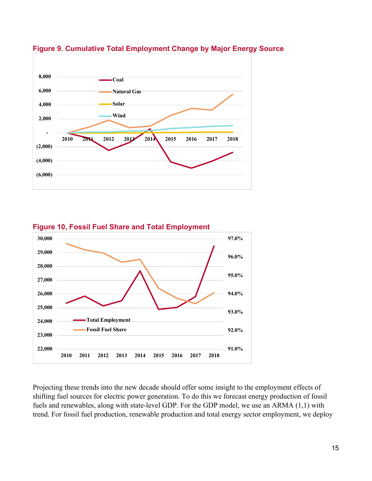

#### **Figure 9. Cumulative Total Employment Change by Major Energy Source**



Projecting these trends into the new decade should offer some insight to the employment effects of shifting fuel sources for electric power generation. To do this we forecast energy production of fossil fuels and renewables, along with state-level GDP. For the GDP model, we use an ARMA (1,1) with trend. For fossil fuel production, renewable production and total energy sector employment, we deploy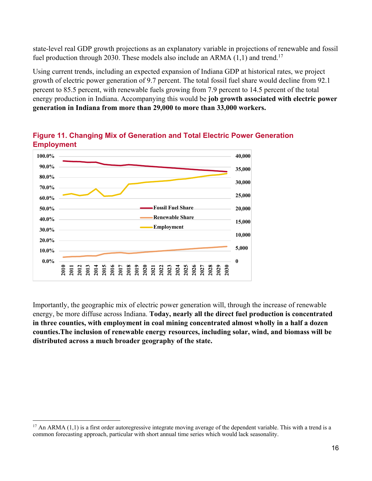state-level real GDP growth projections as an explanatory variable in projections of renewable and fossil fuel production through 2030. These models also include an ARMA  $(1,1)$  and trend.<sup>17</sup>

Using current trends, including an expected expansion of Indiana GDP at historical rates, we project growth of electric power generation of 9.7 percent. The total fossil fuel share would decline from 92.1 percent to 85.5 percent, with renewable fuels growing from 7.9 percent to 14.5 percent of the total energy production in Indiana. Accompanying this would be **job growth associated with electric power generation in Indiana from more than 29,000 to more than 33,000 workers.** 



#### **Figure 11. Changing Mix of Generation and Total Electric Power Generation Employment**

Importantly, the geographic mix of electric power generation will, through the increase of renewable energy, be more diffuse across Indiana. **Today, nearly all the direct fuel production is concentrated in three counties, with employment in coal mining concentrated almost wholly in a half a dozen counties.The inclusion of renewable energy resources, including solar, wind, and biomass will be distributed across a much broader geography of the state.** 

 $17$  An ARMA (1,1) is a first order autoregressive integrate moving average of the dependent variable. This with a trend is a common forecasting approach, particular with short annual time series which would lack seasonality.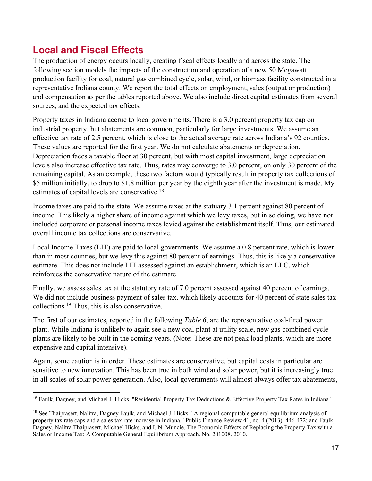# **Local and Fiscal Effects**

The production of energy occurs locally, creating fiscal effects locally and across the state. The following section models the impacts of the construction and operation of a new 50 Megawatt production facility for coal, natural gas combined cycle, solar, wind, or biomass facility constructed in a representative Indiana county. We report the total effects on employment, sales (output or production) and compensation as per the tables reported above. We also include direct capital estimates from several sources, and the expected tax effects.

Property taxes in Indiana accrue to local governments. There is a 3.0 percent property tax cap on industrial property, but abatements are common, particularly for large investments. We assume an effective tax rate of 2.5 percent, which is close to the actual average rate across Indiana's 92 counties. These values are reported for the first year. We do not calculate abatements or depreciation. Depreciation faces a taxable floor at 30 percent, but with most capital investment, large depreciation levels also increase effective tax rate. Thus, rates may converge to 3.0 percent, on only 30 percent of the remaining capital. As an example, these two factors would typically result in property tax collections of \$5 million initially, to drop to \$1.8 million per year by the eighth year after the investment is made. My estimates of capital levels are conservative.18

Income taxes are paid to the state. We assume taxes at the statuary 3.1 percent against 80 percent of income. This likely a higher share of income against which we levy taxes, but in so doing, we have not included corporate or personal income taxes levied against the establishment itself. Thus, our estimated overall income tax collections are conservative.

Local Income Taxes (LIT) are paid to local governments. We assume a 0.8 percent rate, which is lower than in most counties, but we levy this against 80 percent of earnings. Thus, this is likely a conservative estimate. This does not include LIT assessed against an establishment, which is an LLC, which reinforces the conservative nature of the estimate.

Finally, we assess sales tax at the statutory rate of 7.0 percent assessed against 40 percent of earnings. We did not include business payment of sales tax, which likely accounts for 40 percent of state sales tax collections.19 Thus, this is also conservative.

The first of our estimates, reported in the following *Table 6*, are the representative coal-fired power plant. While Indiana is unlikely to again see a new coal plant at utility scale, new gas combined cycle plants are likely to be built in the coming years. (Note: These are not peak load plants, which are more expensive and capital intensive).

Again, some caution is in order. These estimates are conservative, but capital costs in particular are sensitive to new innovation. This has been true in both wind and solar power, but it is increasingly true in all scales of solar power generation. Also, local governments will almost always offer tax abatements,

<sup>&</sup>lt;sup>18</sup> Faulk, Dagney, and Michael J. Hicks. "Residential Property Tax Deductions & Effective Property Tax Rates in Indiana."

<sup>19</sup> See Thaiprasert, Nalitra, Dagney Faulk, and Michael J. Hicks. "A regional computable general equilibrium analysis of property tax rate caps and a sales tax rate increase in Indiana." Public Finance Review 41, no. 4 (2013): 446-472; and Faulk, Dagney, Nalitra Thaiprasert, Michael Hicks, and I. N. Muncie. The Economic Effects of Replacing the Property Tax with a Sales or Income Tax: A Computable General Equilibrium Approach. No. 201008. 2010.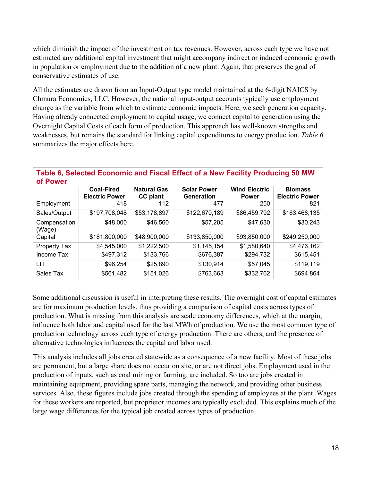which diminish the impact of the investment on tax revenues. However, across each type we have not estimated any additional capital investment that might accompany indirect or induced economic growth in population or employment due to the addition of a new plant. Again, that preserves the goal of conservative estimates of use.

All the estimates are drawn from an Input-Output type model maintained at the 6-digit NAICS by Chmura Economics, LLC. However, the national input-output accounts typically use employment change as the variable from which to estimate economic impacts. Here, we seek generation capacity. Having already connected employment to capital usage, we connect capital to generation using the Overnight Capital Costs of each form of production. This approach has well-known strengths and weaknesses, but remains the standard for linking capital expenditures to energy production. *Table 6* summarizes the major effects here.

#### **Table 6, Selected Economic and Fiscal Effect of a New Facility Producing 50 MW of Power**

|                        | <b>Coal-Fired</b><br><b>Electric Power</b> | <b>Natural Gas</b><br><b>CC</b> plant | <b>Solar Power</b><br><b>Generation</b> | <b>Wind Electric</b><br><b>Power</b> | <b>Biomass</b><br><b>Electric Power</b> |  |  |  |  |
|------------------------|--------------------------------------------|---------------------------------------|-----------------------------------------|--------------------------------------|-----------------------------------------|--|--|--|--|
| Employment             | 418                                        | 112                                   | 477                                     | 250                                  | 821                                     |  |  |  |  |
| Sales/Output           | \$197,708,048                              | \$53,178,897                          | \$122,670,189                           | \$86,459,792                         | \$163,468,135                           |  |  |  |  |
| Compensation<br>(Wage) | \$48,000                                   | \$46,560                              | \$57,205                                | \$47,630                             | \$30,243                                |  |  |  |  |
| Capital                | \$181,800,000                              | \$48,900,000                          | \$133,850,000                           | \$93,850,000                         | \$249,250,000                           |  |  |  |  |
| Property Tax           | \$4,545,000                                | \$1,222,500                           | \$1,145,154                             | \$1,580,640                          | \$4,476,162                             |  |  |  |  |
| Income Tax             | \$497,312                                  | \$133,766                             | \$676,387                               | \$294,732                            | \$615,451                               |  |  |  |  |
| LIT                    | \$96,254                                   | \$25,890                              | \$130,914                               | \$57,045                             | \$119,119                               |  |  |  |  |
| Sales Tax              | \$561,482                                  | \$151,026                             | \$763,663                               | \$332,762                            | \$694,864                               |  |  |  |  |

Some additional discussion is useful in interpreting these results. The overnight cost of capital estimates are for maximum production levels, thus providing a comparison of capital costs across types of production. What is missing from this analysis are scale economy differences, which at the margin, influence both labor and capital used for the last MWh of production. We use the most common type of production technology across each type of energy production. There are others, and the presence of alternative technologies influences the capital and labor used.

This analysis includes all jobs created statewide as a consequence of a new facility. Most of these jobs are permanent, but a large share does not occur on site, or are not direct jobs. Employment used in the production of inputs, such as coal mining or farming, are included. So too are jobs created in maintaining equipment, providing spare parts, managing the network, and providing other business services. Also, these figures include jobs created through the spending of employees at the plant. Wages for these workers are reported, but proprietor incomes are typically excluded. This explains much of the large wage differences for the typical job created across types of production.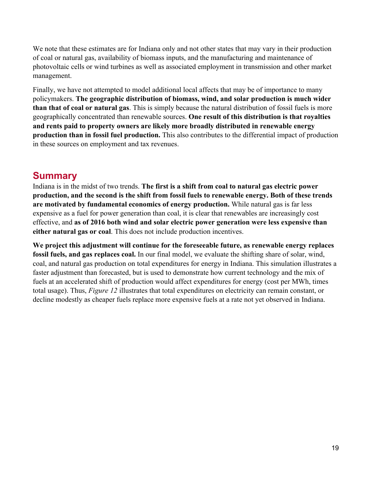We note that these estimates are for Indiana only and not other states that may vary in their production of coal or natural gas, availability of biomass inputs, and the manufacturing and maintenance of photovoltaic cells or wind turbines as well as associated employment in transmission and other market management.

Finally, we have not attempted to model additional local affects that may be of importance to many policymakers. **The geographic distribution of biomass, wind, and solar production is much wider than that of coal or natural gas**. This is simply because the natural distribution of fossil fuels is more geographically concentrated than renewable sources. **One result of this distribution is that royalties and rents paid to property owners are likely more broadly distributed in renewable energy production than in fossil fuel production.** This also contributes to the differential impact of production in these sources on employment and tax revenues.

## **Summary**

Indiana is in the midst of two trends. **The first is a shift from coal to natural gas electric power production, and the second is the shift from fossil fuels to renewable energy. Both of these trends are motivated by fundamental economics of energy production.** While natural gas is far less expensive as a fuel for power generation than coal, it is clear that renewables are increasingly cost effective, and **as of 2016 both wind and solar electric power generation were less expensive than either natural gas or coal**. This does not include production incentives.

**We project this adjustment will continue for the foreseeable future, as renewable energy replaces fossil fuels, and gas replaces coal.** In our final model, we evaluate the shifting share of solar, wind, coal, and natural gas production on total expenditures for energy in Indiana. This simulation illustrates a faster adjustment than forecasted, but is used to demonstrate how current technology and the mix of fuels at an accelerated shift of production would affect expenditures for energy (cost per MWh, times total usage). Thus, *Figure 12* illustrates that total expenditures on electricity can remain constant, or decline modestly as cheaper fuels replace more expensive fuels at a rate not yet observed in Indiana.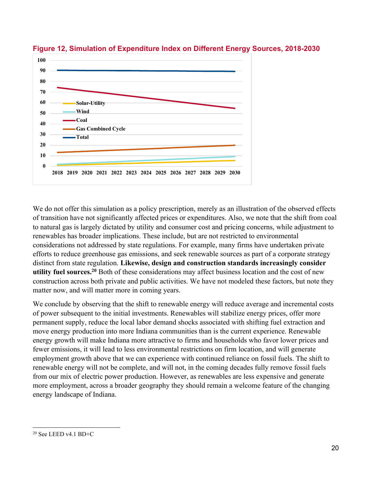

**Figure 12, Simulation of Expenditure Index on Different Energy Sources, 2018-2030**

We do not offer this simulation as a policy prescription, merely as an illustration of the observed effects of transition have not significantly affected prices or expenditures. Also, we note that the shift from coal to natural gas is largely dictated by utility and consumer cost and pricing concerns, while adjustment to renewables has broader implications. These include, but are not restricted to environmental considerations not addressed by state regulations. For example, many firms have undertaken private efforts to reduce greenhouse gas emissions, and seek renewable sources as part of a corporate strategy distinct from state regulation. **Likewise, design and construction standards increasingly consider utility fuel sources.20** Both of these considerations may affect business location and the cost of new construction across both private and public activities. We have not modeled these factors, but note they matter now, and will matter more in coming years.

We conclude by observing that the shift to renewable energy will reduce average and incremental costs of power subsequent to the initial investments. Renewables will stabilize energy prices, offer more permanent supply, reduce the local labor demand shocks associated with shifting fuel extraction and move energy production into more Indiana communities than is the current experience. Renewable energy growth will make Indiana more attractive to firms and households who favor lower prices and fewer emissions, it will lead to less environmental restrictions on firm location, and will generate employment growth above that we can experience with continued reliance on fossil fuels. The shift to renewable energy will not be complete, and will not, in the coming decades fully remove fossil fuels from our mix of electric power production. However, as renewables are less expensive and generate more employment, across a broader geography they should remain a welcome feature of the changing energy landscape of Indiana.

<sup>20</sup> See LEED v4.1 BD+C